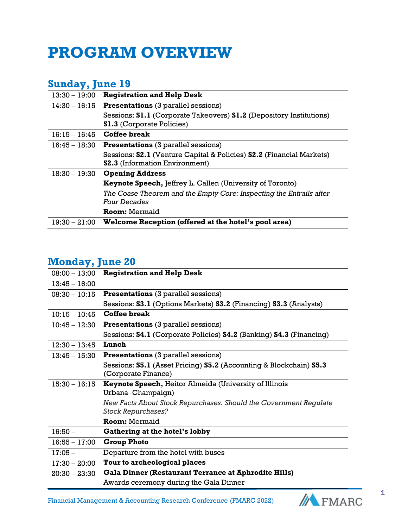## **PROGRAM OVERVIEW**

## **Sunday, June 19**

| <b>Registration and Help Desk</b>                                    |
|----------------------------------------------------------------------|
| <b>Presentations</b> (3 parallel sessions)<br>$14:30 - 16:15$        |
| Sessions: S1.1 (Corporate Takeovers) S1.2 (Depository Institutions)  |
| <b>S1.3 (Corporate Policies)</b>                                     |
| Coffee break<br>$16:15 - 16:45$                                      |
| <b>Presentations</b> (3 parallel sessions)<br>$16:45 - 18:30$        |
| Sessions: S2.1 (Venture Capital & Policies) S2.2 (Financial Markets) |
| <b>S2.3</b> (Information Environment)                                |
| <b>Opening Address</b>                                               |
| Keynote Speech, Jeffrey L. Callen (University of Toronto)            |
| The Coase Theorem and the Empty Core: Inspecting the Entrails after  |
| <i>Four Decades</i>                                                  |
| <b>Room: Mermaid</b>                                                 |
| Welcome Reception (offered at the hotel's pool area)                 |
|                                                                      |

## **Monday, June 20**

| $08:00 - 13:00$ | <b>Registration and Help Desk</b>                                                        |
|-----------------|------------------------------------------------------------------------------------------|
| $13:45 - 16:00$ |                                                                                          |
| $08:30 - 10:15$ | <b>Presentations</b> (3 parallel sessions)                                               |
|                 | Sessions: S3.1 (Options Markets) S3.2 (Financing) S3.3 (Analysts)                        |
| $10:15 - 10:45$ | Coffee break                                                                             |
| $10:45 - 12:30$ | <b>Presentations</b> (3 parallel sessions)                                               |
|                 | Sessions: <b>S4.1</b> (Corporate Policies) <b>S4.2</b> (Banking) <b>S4.3</b> (Financing) |
| $12:30 - 13:45$ | Lunch                                                                                    |
| $13:45 - 15:30$ | <b>Presentations</b> (3 parallel sessions)                                               |
|                 | Sessions: S5.1 (Asset Pricing) S5.2 (Accounting & Blockchain) S5.3                       |
|                 | (Corporate Finance)                                                                      |
| $15:30 - 16:15$ | <b>Keynote Speech, Heitor Almeida (University of Illinois</b>                            |
|                 | Urbana-Champaign)                                                                        |
|                 | New Facts About Stock Repurchases. Should the Government Regulate                        |
|                 | <b>Stock Repurchases?</b>                                                                |
|                 | <b>Room: Mermaid</b>                                                                     |
| $16:50 -$       | Gathering at the hotel's lobby                                                           |
| $16:55 - 17:00$ | <b>Group Photo</b>                                                                       |
| $17:05 -$       | Departure from the hotel with buses                                                      |
| $17:30 - 20:00$ | Tour to archeological places                                                             |
| $20:30 - 23:30$ | <b>Gala Dinner (Restaurant Terrance at Aphrodite Hills)</b>                              |
|                 | Awards ceremony during the Gala Dinner                                                   |